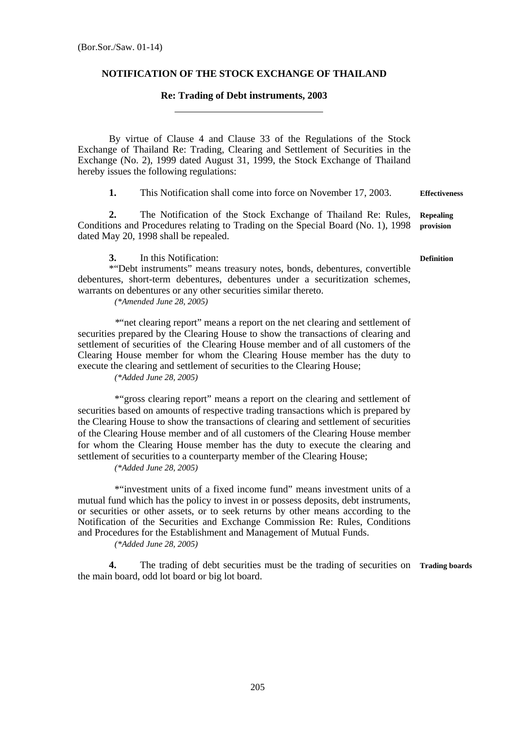## **NOTIFICATION OF THE STOCK EXCHANGE OF THAILAND**

## **Re: Trading of Debt instruments, 2003**

 By virtue of Clause 4 and Clause 33 of the Regulations of the Stock Exchange of Thailand Re: Trading, Clearing and Settlement of Securities in the Exchange (No. 2), 1999 dated August 31, 1999, the Stock Exchange of Thailand hereby issues the following regulations:

**1.** This Notification shall come into force on November 17, 2003. **Effectiveness** 

**2.** The Notification of the Stock Exchange of Thailand Re: Rules, Conditions and Procedures relating to Trading on the Special Board (No. 1), 1998 dated May 20, 1998 shall be repealed. **Repealing provision** 

**3.** In this Notification:

 \*"Debt instruments" means treasury notes, bonds, debentures, convertible debentures, short-term debentures, debentures under a securitization schemes, warrants on debentures or any other securities similar thereto.

*(\*Amended June 28, 2005)* 

 *\**"net clearing report" means a report on the net clearing and settlement of securities prepared by the Clearing House to show the transactions of clearing and settlement of securities of the Clearing House member and of all customers of the Clearing House member for whom the Clearing House member has the duty to execute the clearing and settlement of securities to the Clearing House;

*(\*Added June 28, 2005)* 

 \*"gross clearing report" means a report on the clearing and settlement of securities based on amounts of respective trading transactions which is prepared by the Clearing House to show the transactions of clearing and settlement of securities of the Clearing House member and of all customers of the Clearing House member for whom the Clearing House member has the duty to execute the clearing and settlement of securities to a counterparty member of the Clearing House;

*(\*Added June 28, 2005)* 

 \*"investment units of a fixed income fund" means investment units of a mutual fund which has the policy to invest in or possess deposits, debt instruments, or securities or other assets, or to seek returns by other means according to the Notification of the Securities and Exchange Commission Re: Rules, Conditions and Procedures for the Establishment and Management of Mutual Funds.

*(\*Added June 28, 2005)* 

**4.** The trading of debt securities must be the trading of securities on **Trading boards** the main board, odd lot board or big lot board.

**Definition**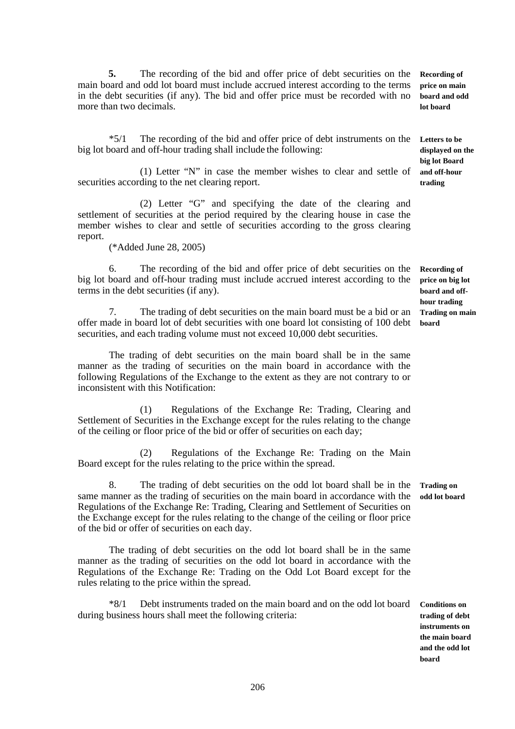**5.** The recording of the bid and offer price of debt securities on the main board and odd lot board must include accrued interest according to the terms in the debt securities (if any). The bid and offer price must be recorded with no more than two decimals.

 \*5/1 The recording of the bid and offer price of debt instruments on the **Letters to be**  big lot board and off-hour trading shall include the following:

 (1) Letter "N" in case the member wishes to clear and settle of securities according to the net clearing report.

 (2) Letter "G" and specifying the date of the clearing and settlement of securities at the period required by the clearing house in case the member wishes to clear and settle of securities according to the gross clearing report.

(\*Added June 28, 2005)

 6. The recording of the bid and offer price of debt securities on the big lot board and off-hour trading must include accrued interest according to the terms in the debt securities (if any).

 7. The trading of debt securities on the main board must be a bid or an offer made in board lot of debt securities with one board lot consisting of 100 debt securities, and each trading volume must not exceed 10,000 debt securities.

 The trading of debt securities on the main board shall be in the same manner as the trading of securities on the main board in accordance with the following Regulations of the Exchange to the extent as they are not contrary to or inconsistent with this Notification:

 (1) Regulations of the Exchange Re: Trading, Clearing and Settlement of Securities in the Exchange except for the rules relating to the change of the ceiling or floor price of the bid or offer of securities on each day;

 (2) Regulations of the Exchange Re: Trading on the Main Board except for the rules relating to the price within the spread.

 8. The trading of debt securities on the odd lot board shall be in the same manner as the trading of securities on the main board in accordance with the Regulations of the Exchange Re: Trading, Clearing and Settlement of Securities on the Exchange except for the rules relating to the change of the ceiling or floor price of the bid or offer of securities on each day. **Trading on odd lot board** 

 The trading of debt securities on the odd lot board shall be in the same manner as the trading of securities on the odd lot board in accordance with the Regulations of the Exchange Re: Trading on the Odd Lot Board except for the rules relating to the price within the spread.

 \*8/1 Debt instruments traded on the main board and on the odd lot board during business hours shall meet the following criteria:

**Conditions on trading of debt instruments on the main board and the odd lot board** 

**Recording of price on big lot board and offhour trading Trading on main board** 

**Recording of price on main board and odd lot board** 

**displayed on the big lot Board and off-hour trading**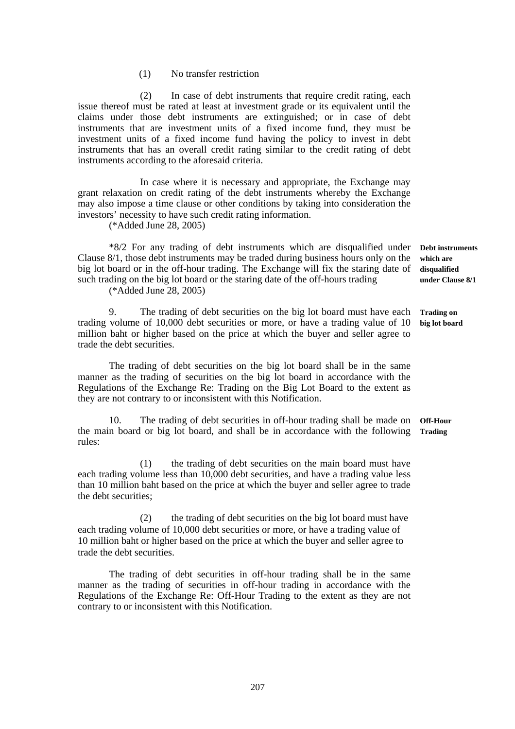(1) No transfer restriction

 (2) In case of debt instruments that require credit rating, each issue thereof must be rated at least at investment grade or its equivalent until the claims under those debt instruments are extinguished; or in case of debt instruments that are investment units of a fixed income fund, they must be investment units of a fixed income fund having the policy to invest in debt instruments that has an overall credit rating similar to the credit rating of debt instruments according to the aforesaid criteria.

 In case where it is necessary and appropriate, the Exchange may grant relaxation on credit rating of the debt instruments whereby the Exchange may also impose a time clause or other conditions by taking into consideration the investors' necessity to have such credit rating information.

(\*Added June 28, 2005)

 \*8/2 For any trading of debt instruments which are disqualified under Clause 8/1, those debt instruments may be traded during business hours only on the big lot board or in the off-hour trading. The Exchange will fix the staring date of such trading on the big lot board or the staring date of the off-hours trading

(\*Added June 28, 2005)

 9. The trading of debt securities on the big lot board must have each trading volume of 10,000 debt securities or more, or have a trading value of 10 million baht or higher based on the price at which the buyer and seller agree to trade the debt securities.

 The trading of debt securities on the big lot board shall be in the same manner as the trading of securities on the big lot board in accordance with the Regulations of the Exchange Re: Trading on the Big Lot Board to the extent as they are not contrary to or inconsistent with this Notification.

 10. The trading of debt securities in off-hour trading shall be made on **Off-Hour**  the main board or big lot board, and shall be in accordance with the following **Trading**  rules:

 (1) the trading of debt securities on the main board must have each trading volume less than 10,000 debt securities, and have a trading value less than 10 million baht based on the price at which the buyer and seller agree to trade the debt securities;

 (2) the trading of debt securities on the big lot board must have each trading volume of 10,000 debt securities or more, or have a trading value of 10 million baht or higher based on the price at which the buyer and seller agree to trade the debt securities.

 The trading of debt securities in off-hour trading shall be in the same manner as the trading of securities in off-hour trading in accordance with the Regulations of the Exchange Re: Off-Hour Trading to the extent as they are not contrary to or inconsistent with this Notification.

**Debt instruments which are disqualified under Clause 8/1** 

**Trading on big lot board**